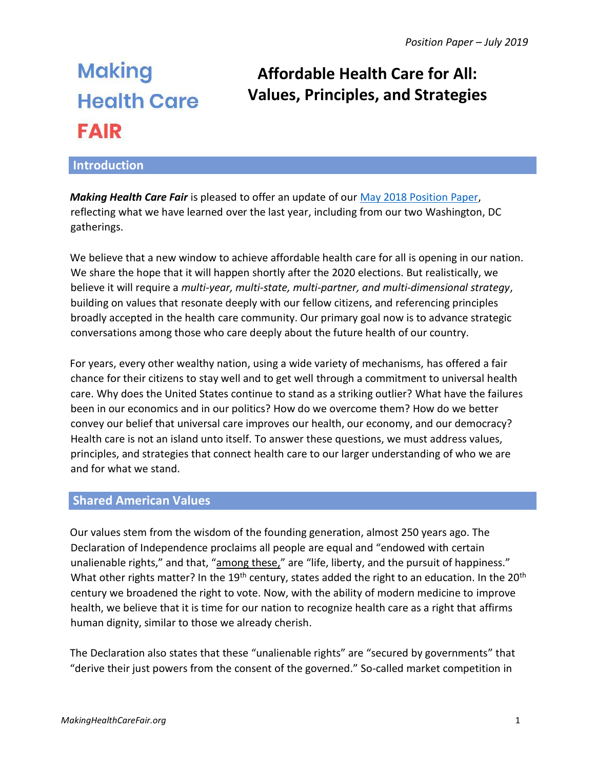# **Making Health Care FAIR**

# **Affordable Health Care for All: Values, Principles, and Strategies**

# **Introduction**

*Making Health Care Fair* is pleased to offer an update of our [May 2018 Position Paper,](https://docs.wixstatic.com/ugd/c91eb9_d69f5d98e6be41ecad4aa5cd296c9f5a.pdf) reflecting what we have learned over the last year, including from our two Washington, DC gatherings.

We believe that a new window to achieve affordable health care for all is opening in our nation. We share the hope that it will happen shortly after the 2020 elections. But realistically, we believe it will require a *multi-year, multi-state, multi-partner, and multi-dimensional strategy*, building on values that resonate deeply with our fellow citizens, and referencing principles broadly accepted in the health care community. Our primary goal now is to advance strategic conversations among those who care deeply about the future health of our country.

For years, every other wealthy nation, using a wide variety of mechanisms, has offered a fair chance for their citizens to stay well and to get well through a commitment to universal health care. Why does the United States continue to stand as a striking outlier? What have the failures been in our economics and in our politics? How do we overcome them? How do we better convey our belief that universal care improves our health, our economy, and our democracy? Health care is not an island unto itself. To answer these questions, we must address values, principles, and strategies that connect health care to our larger understanding of who we are and for what we stand.

# **Shared American Values**

Our values stem from the wisdom of the founding generation, almost 250 years ago. The Declaration of Independence proclaims all people are equal and "endowed with certain unalienable rights," and that, "among these," are "life, liberty, and the pursuit of happiness." What other rights matter? In the  $19<sup>th</sup>$  century, states added the right to an education. In the  $20<sup>th</sup>$ century we broadened the right to vote. Now, with the ability of modern medicine to improve health, we believe that it is time for our nation to recognize health care as a right that affirms human dignity, similar to those we already cherish.

The Declaration also states that these "unalienable rights" are "secured by governments" that "derive their just powers from the consent of the governed." So-called market competition in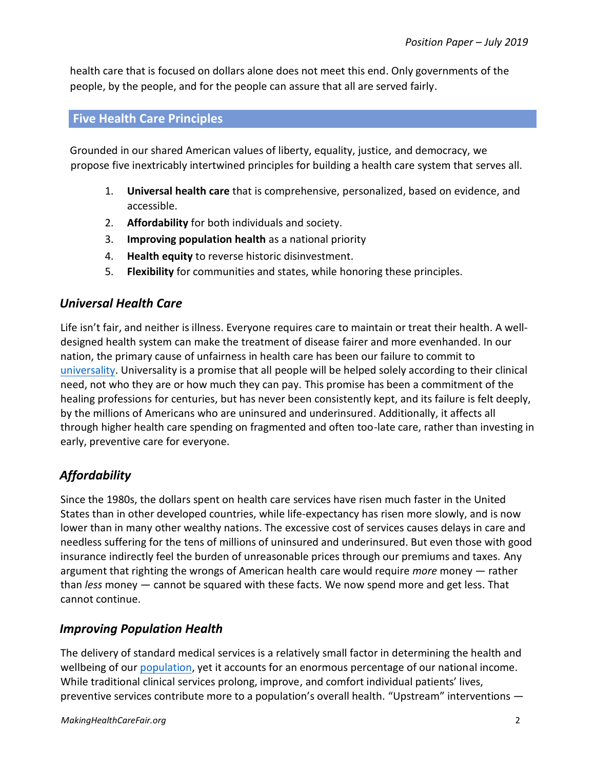health care that is focused on dollars alone does not meet this end. Only governments of the people, by the people, and for the people can assure that all are served fairly.

#### **Five Health Care Principles**

Grounded in our shared American values of liberty, equality, justice, and democracy, we propose five inextricably intertwined principles for building a health care system that serves all.

- 1. **Universal health care** that is comprehensive, personalized, based on evidence, and accessible.
- 2. **Affordability** for both individuals and society.
- 3. **Improving population health** as a national priority
- 4. **Health equity** to reverse historic disinvestment.
- 5. **Flexibility** for communities and states, while honoring these principles.

# *Universal Health Care*

Life isn't fair, and neither is illness. Everyone requires care to maintain or treat their health. A welldesigned health system can make the treatment of disease fairer and more evenhanded. In our nation, the primary cause of unfairness in health care has been our failure to commit to [universality.](https://www.makinghealthcarefair.org/universality) Universality is a promise that all people will be helped solely according to their clinical need, not who they are or how much they can pay. This promise has been a commitment of the healing professions for centuries, but has never been consistently kept, and its failure is felt deeply, by the millions of Americans who are uninsured and underinsured. Additionally, it affects all through higher health care spending on fragmented and often too-late care, rather than investing in early, preventive care for everyone.

# *Affordability*

Since the 1980s, the dollars spent on health care services have risen much faster in the United States than in other developed countries, while life-expectancy has risen more slowly, and is now lower than in many other wealthy nations. The excessive cost of services causes delays in care and needless suffering for the tens of millions of uninsured and underinsured. But even those with good insurance indirectly feel the burden of unreasonable prices through our premiums and taxes. Any argument that righting the wrongs of American health care would require *more* money — rather than *less* money — cannot be squared with these facts. We now spend more and get less. That cannot continue.

# *Improving Population Health*

The delivery of standard medical services is a relatively small factor in determining the health and wellbeing of our [population,](https://www.makinghealthcarefair.org/population-health) yet it accounts for an enormous percentage of our national income. While traditional clinical services prolong, improve, and comfort individual patients' lives, preventive services contribute more to a population's overall health. "Upstream" interventions —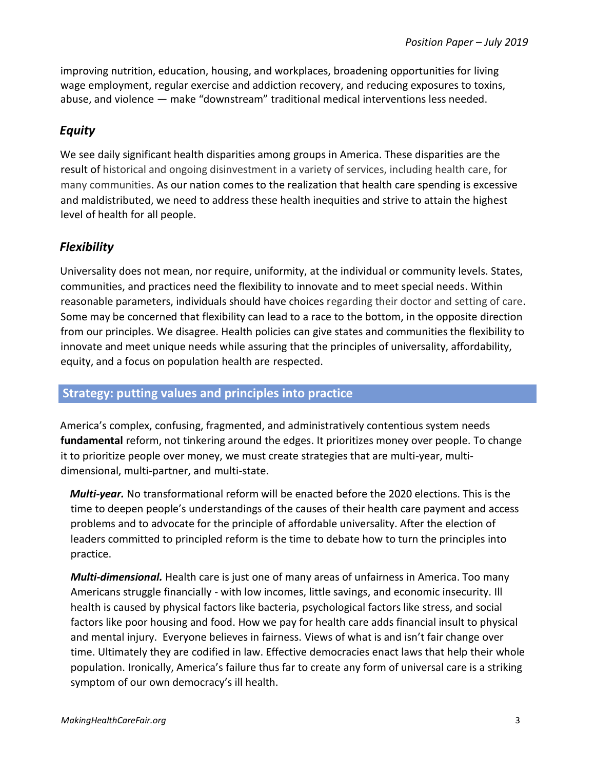improving nutrition, education, housing, and workplaces, broadening opportunities for living wage employment, regular exercise and addiction recovery, and reducing exposures to toxins, abuse, and violence — make "downstream" traditional medical interventions less needed.

# *Equity*

We see daily significant health disparities among groups in America. These disparities are the result of historical and ongoing disinvestment in a variety of services, including health care, for many communities. As our nation comes to the realization that health care spending is excessive and maldistributed, we need to address these health inequities and strive to attain the highest level of health for all people.

# *Flexibility*

Universality does not mean, nor require, uniformity, at the individual or community levels. States, communities, and practices need the flexibility to innovate and to meet special needs. Within reasonable parameters, individuals should have choices regarding their doctor and setting of care. Some may be concerned that flexibility can lead to a race to the bottom, in the opposite direction from our principles. We disagree. Health policies can give states and communities the flexibility to innovate and meet unique needs while assuring that the principles of universality, affordability, equity, and a focus on population health are respected.

#### **Strategy: putting values and principles into practice**

America's complex, confusing, fragmented, and administratively contentious system needs **fundamental** reform, not tinkering around the edges. It prioritizes money over people. To change it to prioritize people over money, we must create strategies that are multi-year, multidimensional, multi-partner, and multi-state.

*Multi-year.* No transformational reform will be enacted before the 2020 elections. This is the time to deepen people's understandings of the causes of their health care payment and access problems and to advocate for the principle of affordable universality. After the election of leaders committed to principled reform is the time to debate how to turn the principles into practice.

*Multi-dimensional.* Health care is just one of many areas of unfairness in America. Too many Americans struggle financially - with low incomes, little savings, and economic insecurity. Ill health is caused by physical factors like bacteria, psychological factors like stress, and social factors like poor housing and food. How we pay for health care adds financial insult to physical and mental injury. Everyone believes in fairness. Views of what is and isn't fair change over time. Ultimately they are codified in law. Effective democracies enact laws that help their whole population. Ironically, America's failure thus far to create any form of universal care is a striking symptom of our own democracy's ill health.